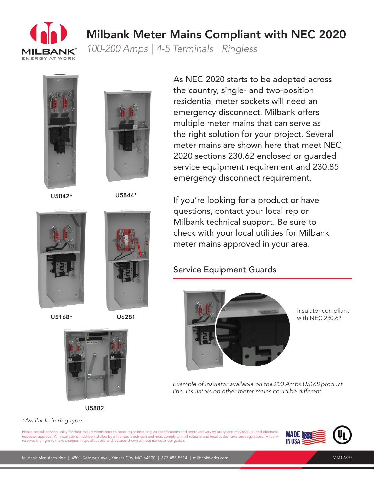

## Milbank Meter Mains Compliant with NEC 2020

*100-200 Amps | 4-5 Terminals | Ringless*





U5842\*

U5844\*

As NEC 2020 starts to be adopted across the country, single- and two-position residential meter sockets will need an emergency disconnect. Milbank offers multiple meter mains that can serve as the right solution for your project. Several meter mains are shown here that meet NEC 2020 sections 230.62 enclosed or guarded service equipment requirement and 230.85 emergency disconnect requirement.



## Service Equipment Guards



Insulator compliant with NEC 230.62

*Example of insulator available on the 200 Amps U5168 product line, insulators on other meter mains could be different.*







## *\*Available in ring type*

Please consult serving utility for their requirements prior to ordering or installing, as specifications and approvals vary by utility, and may require local electrical inspector approval. All installations must be installed by a licensed electrician and must comply with all national and local codes, laws and regulations. Milbank reserves the right to make changes in specifications and features shown without notice or obligation.